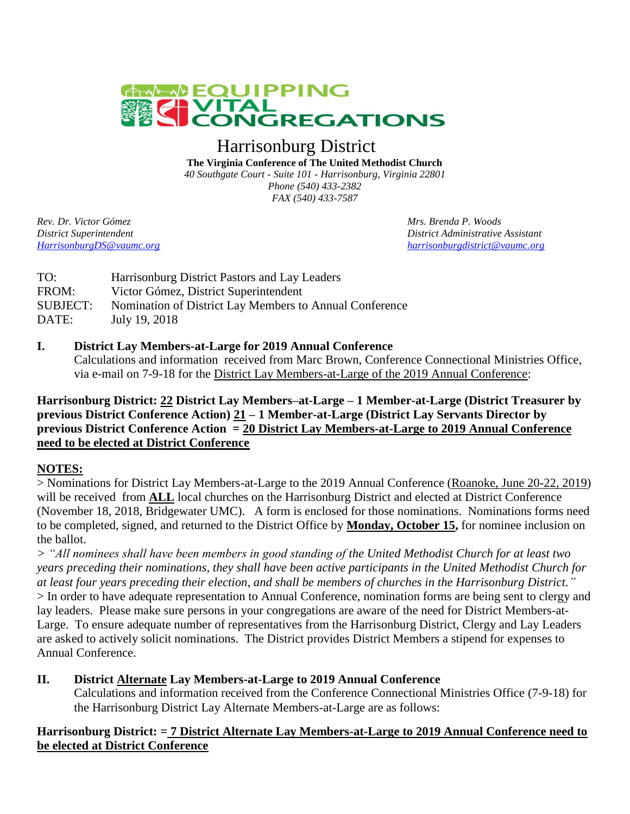

# Harrisonburg District

**The Virginia Conference of The United Methodist Church** *40 Southgate Court - Suite 101 - Harrisonburg, Virginia 22801 Phone (540) 433-2382 FAX (540) 433-7587*

*Rev. Dr. Victor Gómez Mrs. Brenda P. Woods*

*District Superintendent District Administrative Assistant [HarrisonburgDS@vaumc.org](mailto:HarrisonburgDS@vaumc.org) [harrisonburgdistrict@vaumc.org](mailto:harrisonburgdistrict@vaumc.org)*

| TO:             | Harrisonburg District Pastors and Lay Leaders           |
|-----------------|---------------------------------------------------------|
| FROM:           | Victor Gómez, District Superintendent                   |
| <b>SUBJECT:</b> | Nomination of District Lay Members to Annual Conference |
| DATE:           | July 19, 2018                                           |

#### **I. District Lay Members-at-Large for 2019 Annual Conference**

Calculations and information received from Marc Brown, Conference Connectional Ministries Office, via e-mail on 7-9-18 for the District Lay Members-at-Large of the 2019 Annual Conference:

#### **Harrisonburg District: 22 District Lay Members–at-Large – 1 Member-at-Large (District Treasurer by previous District Conference Action) 21 – 1 Member-at-Large (District Lay Servants Director by previous District Conference Action = 20 District Lay Members-at-Large to 2019 Annual Conference need to be elected at District Conference**

#### **NOTES:**

> Nominations for District Lay Members-at-Large to the 2019 Annual Conference (Roanoke, June 20-22, 2019) will be received from **ALL** local churches on the Harrisonburg District and elected at District Conference (November 18, 2018, Bridgewater UMC). A form is enclosed for those nominations. Nominations forms need to be completed, signed, and returned to the District Office by **Monday, October 15,** for nominee inclusion on the ballot.

*> "All nominees shall have been members in good standing of the United Methodist Church for at least two years preceding their nominations, they shall have been active participants in the United Methodist Church for at least four years preceding their election, and shall be members of churches in the Harrisonburg District."* > In order to have adequate representation to Annual Conference, nomination forms are being sent to clergy and lay leaders. Please make sure persons in your congregations are aware of the need for District Members-at-Large. To ensure adequate number of representatives from the Harrisonburg District, Clergy and Lay Leaders are asked to actively solicit nominations. The District provides District Members a stipend for expenses to Annual Conference.

#### **II. District Alternate Lay Members-at-Large to 2019 Annual Conference**

Calculations and information received from the Conference Connectional Ministries Office (7-9-18) for the Harrisonburg District Lay Alternate Members-at-Large are as follows:

#### **Harrisonburg District: = 7 District Alternate Lay Members-at-Large to 2019 Annual Conference need to be elected at District Conference**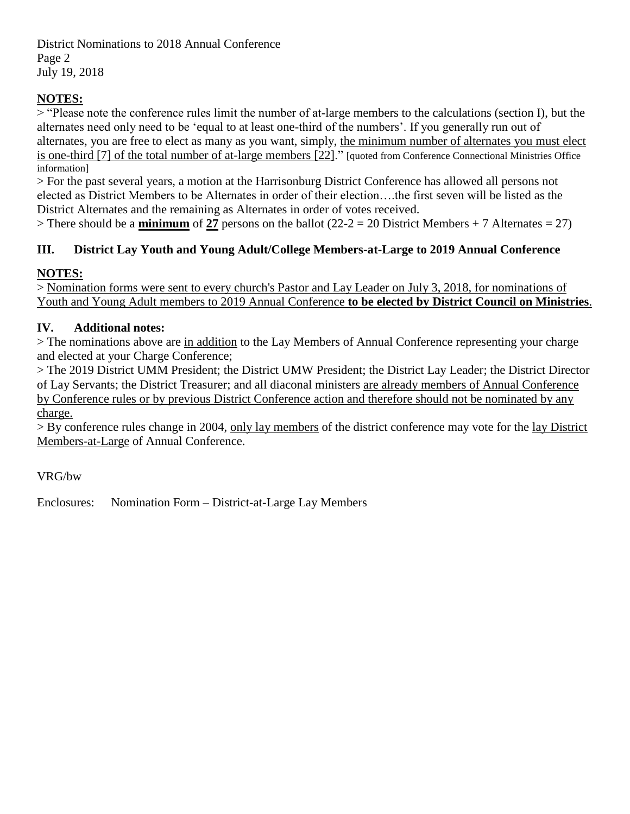District Nominations to 2018 Annual Conference Page 2 July 19, 2018

### **NOTES:**

> "Please note the conference rules limit the number of at-large members to the calculations (section I), but the alternates need only need to be 'equal to at least one-third of the numbers'. If you generally run out of alternates, you are free to elect as many as you want, simply, the minimum number of alternates you must elect is one-third [7] of the total number of at-large members [22]." [quoted from Conference Connectional Ministries Office information]

> For the past several years, a motion at the Harrisonburg District Conference has allowed all persons not elected as District Members to be Alternates in order of their election….the first seven will be listed as the District Alternates and the remaining as Alternates in order of votes received.

 $>$  There should be a **minimum** of 27 persons on the ballot (22-2 = 20 District Members + 7 Alternates = 27)

### **III. District Lay Youth and Young Adult/College Members-at-Large to 2019 Annual Conference**

### **NOTES:**

> Nomination forms were sent to every church's Pastor and Lay Leader on July 3, 2018, for nominations of Youth and Young Adult members to 2019 Annual Conference **to be elected by District Council on Ministries**.

### **IV. Additional notes:**

> The nominations above are in addition to the Lay Members of Annual Conference representing your charge and elected at your Charge Conference;

> The 2019 District UMM President; the District UMW President; the District Lay Leader; the District Director of Lay Servants; the District Treasurer; and all diaconal ministers are already members of Annual Conference by Conference rules or by previous District Conference action and therefore should not be nominated by any charge.

> By conference rules change in 2004, only lay members of the district conference may vote for the lay District Members-at-Large of Annual Conference.

VRG/bw

Enclosures: Nomination Form – District-at-Large Lay Members